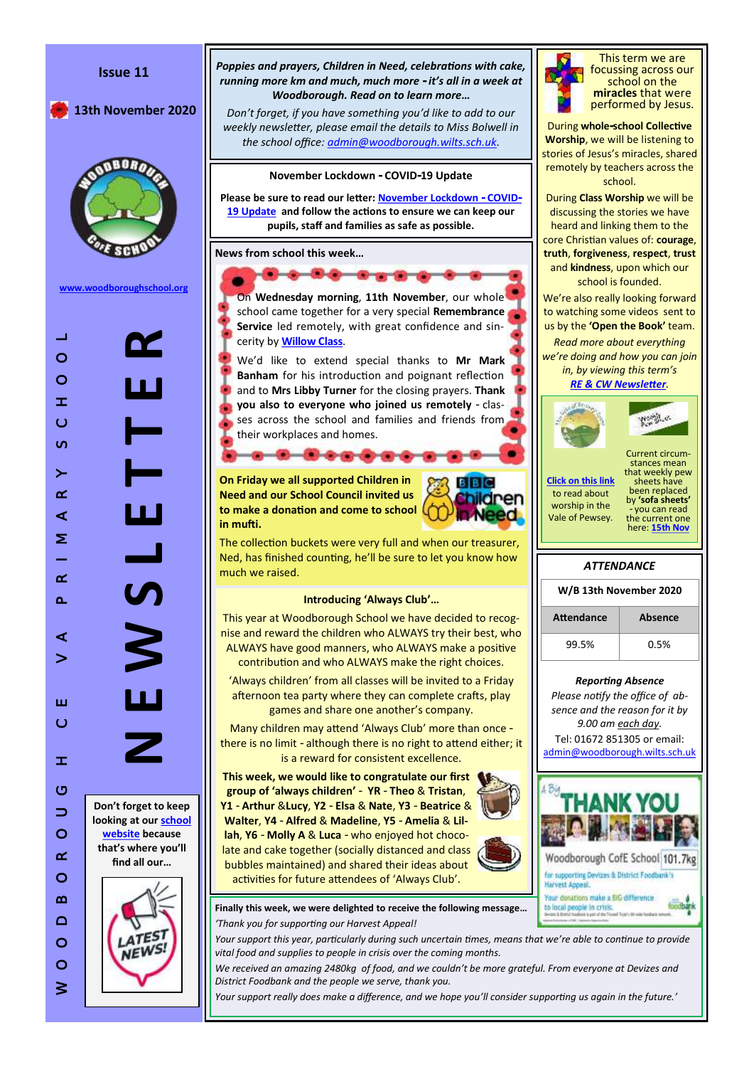

dbank